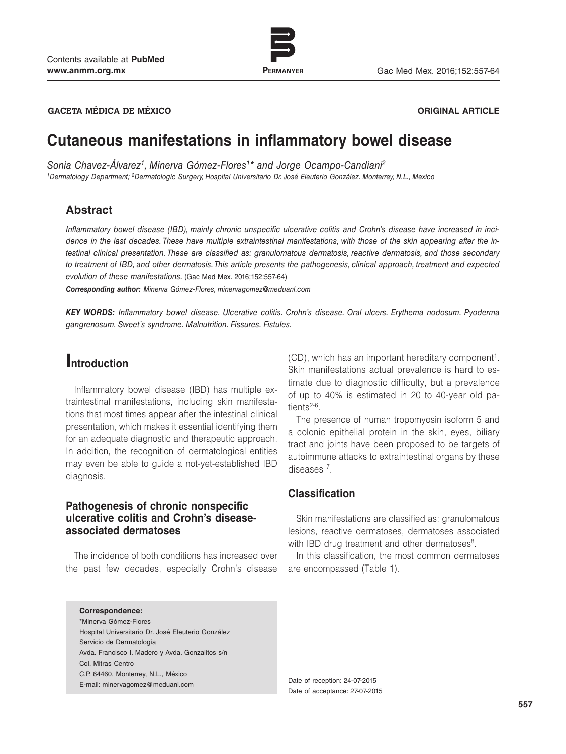

www.permanyer.com

**GACETA MÉDICA DE MÉXICO ORIGINAL ARTICLE**

# **Cutaneous manifestations in inflammatory bowel disease**

*Sonia Chavez-Álvarez1, Minerva Gómez-Flores1\* and Jorge Ocampo-Candiani2*

*1Dermatology Department; 2Dermatologic Surgery, Hospital Universitario Dr. José Eleuterio González. Monterrey, N.L., Mexico* 

## **Abstract**

*Inflammatory bowel disease (IBD), mainly chronic unspecific ulcerative colitis and Crohn's disease have increased in incidence in the last decades. These have multiple extraintestinal manifestations, with those of the skin appearing after the intestinal clinical presentation. These are classified as: granulomatous dermatosis, reactive dermatosis, and those secondary to treatment of IBD, and other dermatosis. This article presents the pathogenesis, clinical approach, treatment and expected evolution of these manifestations.* (Gac Med Mex. 2016;152:557-64)

*Corresponding author: Minerva Gómez-Flores, minervagomez@meduanl.com*

*KEY WORDS: Inflammatory bowel disease. Ulcerative colitis. Crohn's disease. Oral ulcers. Erythema nodosum. Pyoderma gangrenosum. Sweet´s syndrome. Malnutrition. Fissures. Fistules.*

# **Introduction**

Inflammatory bowel disease (IBD) has multiple extraintestinal manifestations, including skin manifestations that most times appear after the intestinal clinical presentation, which makes it essential identifying them for an adequate diagnostic and therapeutic approach. In addition, the recognition of dermatological entities may even be able to guide a not-yet-established IBD diagnosis.

## **Pathogenesis of chronic nonspecific ulcerative colitis and Crohn's diseaseassociated dermatoses**

The incidence of both conditions has increased over the past few decades, especially Crohn's disease

**Correspondence:** \*Minerva Gómez-Flores Hospital Universitario Dr. José Eleuterio González Servicio de Dermatología Avda. Francisco I. Madero y Avda. Gonzalitos s/n Col. Mitras Centro C.P. 64460, Monterrey, N.L., México E-mail: minervagomez@meduanl.com

(CD), which has an important hereditary component<sup>1</sup>. Skin manifestations actual prevalence is hard to estimate due to diagnostic difficulty, but a prevalence of up to 40% is estimated in 20 to 40-year old patients<sup>2-6</sup>.

The presence of human tropomyosin isoform 5 and a colonic epithelial protein in the skin, eyes, biliary tract and joints have been proposed to be targets of autoimmune attacks to extraintestinal organs by these diseases 7.

## **Classification**

Skin manifestations are classified as: granulomatous lesions, reactive dermatoses, dermatoses associated with IBD drug treatment and other dermatoses $8$ .

In this classification, the most common dermatoses are encompassed (Table 1).

Date of acceptance: 27-07-2015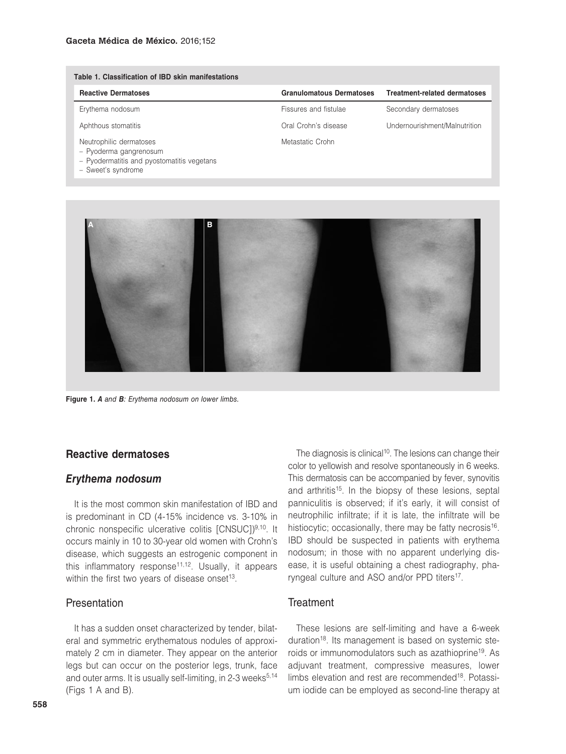| Table 1. Classification of IBD skin manifestations                                                                    |                                 |                                     |
|-----------------------------------------------------------------------------------------------------------------------|---------------------------------|-------------------------------------|
| <b>Reactive Dermatoses</b>                                                                                            | <b>Granulomatous Dermatoses</b> | <b>Treatment-related dermatoses</b> |
| Erythema nodosum                                                                                                      | Fissures and fistulae           | Secondary dermatoses                |
| Aphthous stomatitis                                                                                                   | Oral Crohn's disease            | Undernourishment/Malnutrition       |
| Neutrophilic dermatoses<br>- Pyoderma gangrenosum<br>- Pyodermatitis and pyostomatitis vegetans<br>- Sweet's syndrome | Metastatic Crohn                |                                     |



**Figure 1.** *A and B: Erythema nodosum on lower limbs.*

#### **Reactive dermatoses**

#### *Erythema nodosum*

It is the most common skin manifestation of IBD and is predominant in CD (4-15% incidence vs. 3-10% in chronic nonspecific ulcerative colitis [CNSUC])<sup>9,10</sup>. It occurs mainly in 10 to 30-year old women with Crohn's disease, which suggests an estrogenic component in this inflammatory response<sup>11,12</sup>. Usually, it appears within the first two years of disease onset<sup>13</sup>.

#### Presentation

It has a sudden onset characterized by tender, bilateral and symmetric erythematous nodules of approximately 2 cm in diameter. They appear on the anterior legs but can occur on the posterior legs, trunk, face and outer arms. It is usually self-limiting, in 2-3 weeks $5,14$ (Figs 1 A and B).

The diagnosis is clinical<sup>10</sup>. The lesions can change their color to yellowish and resolve spontaneously in 6 weeks. This dermatosis can be accompanied by fever, synovitis and arthritis<sup>15</sup>. In the biopsy of these lesions, septal panniculitis is observed; if it's early, it will consist of neutrophilic infiltrate; if it is late, the infiltrate will be histiocytic; occasionally, there may be fatty necrosis<sup>16</sup>. IBD should be suspected in patients with erythema nodosum; in those with no apparent underlying disease, it is useful obtaining a chest radiography, pharyngeal culture and ASO and/or PPD titers<sup>17</sup>.

#### **Treatment**

These lesions are self-limiting and have a 6-week duration<sup>18</sup>. Its management is based on systemic steroids or immunomodulators such as azathioprine19. As adjuvant treatment, compressive measures, lower limbs elevation and rest are recommended<sup>18</sup>. Potassium iodide can be employed as second-line therapy at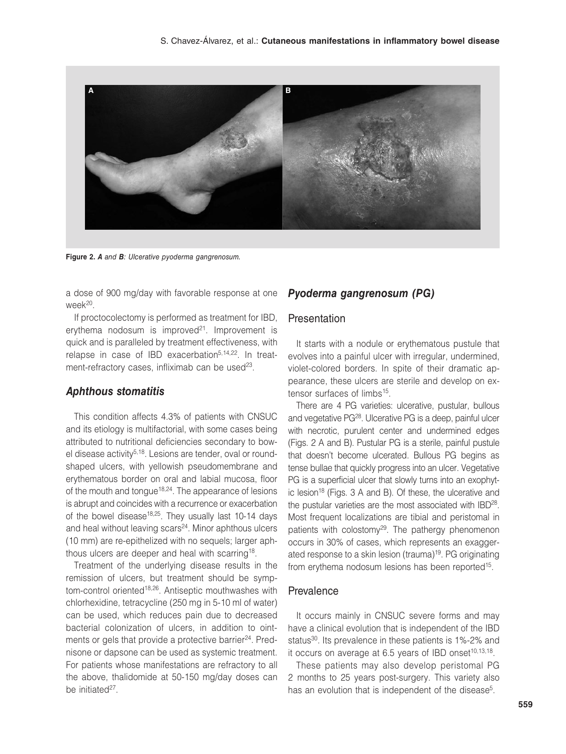

**Figure 2.** *A and B: Ulcerative pyoderma gangrenosum.*

a dose of 900 mg/day with favorable response at one week20.

If proctocolectomy is performed as treatment for IBD, erythema nodosum is improved $2<sup>1</sup>$ . Improvement is quick and is paralleled by treatment effectiveness, with relapse in case of IBD exacerbation<sup>5,14,22</sup>. In treatment-refractory cases, infliximab can be used<sup>23</sup>.

### *Aphthous stomatitis*

This condition affects 4.3% of patients with CNSUC and its etiology is multifactorial, with some cases being attributed to nutritional deficiencies secondary to bowel disease activity<sup>5,18</sup>. Lesions are tender, oval or roundshaped ulcers, with yellowish pseudomembrane and erythematous border on oral and labial mucosa, floor of the mouth and tongue<sup>18,24</sup>. The appearance of lesions is abrupt and coincides with a recurrence or exacerbation of the bowel disease<sup>18,25</sup>. They usually last 10-14 days and heal without leaving scars<sup>24</sup>. Minor aphthous ulcers (10 mm) are re-epithelized with no sequels; larger aphthous ulcers are deeper and heal with scarring<sup>18</sup>.

Treatment of the underlying disease results in the remission of ulcers, but treatment should be symptom-control oriented<sup>18,26</sup>. Antiseptic mouthwashes with chlorhexidine, tetracycline (250 mg in 5-10 ml of water) can be used, which reduces pain due to decreased bacterial colonization of ulcers, in addition to ointments or gels that provide a protective barrier<sup>24</sup>. Prednisone or dapsone can be used as systemic treatment. For patients whose manifestations are refractory to all the above, thalidomide at 50-150 mg/day doses can be initiated<sup>27</sup>.

## *Pyoderma gangrenosum (PG)*

#### Presentation

It starts with a nodule or erythematous pustule that evolves into a painful ulcer with irregular, undermined, violet-colored borders. In spite of their dramatic appearance, these ulcers are sterile and develop on extensor surfaces of limbs<sup>15</sup>.

There are 4 PG varieties: ulcerative, pustular, bullous and vegetative PG28. Ulcerative PG is a deep, painful ulcer with necrotic, purulent center and undermined edges (Figs. 2 A and B). Pustular PG is a sterile, painful pustule that doesn't become ulcerated. Bullous PG begins as tense bullae that quickly progress into an ulcer. Vegetative PG is a superficial ulcer that slowly turns into an exophytic lesion<sup>18</sup> (Figs. 3 A and B). Of these, the ulcerative and the pustular varieties are the most associated with IBD<sup>28</sup>. Most frequent localizations are tibial and peristomal in patients with colostomy<sup>29</sup>. The pathergy phenomenon occurs in 30% of cases, which represents an exaggerated response to a skin lesion (trauma)19. PG originating from erythema nodosum lesions has been reported<sup>15</sup>.

#### Prevalence

It occurs mainly in CNSUC severe forms and may have a clinical evolution that is independent of the IBD status<sup>30</sup>. Its prevalence in these patients is 1%-2% and it occurs on average at  $6.5$  years of IBD onset<sup>10,13,18</sup>.

These patients may also develop peristomal PG 2 months to 25 years post-surgery. This variety also has an evolution that is independent of the disease<sup>5</sup>.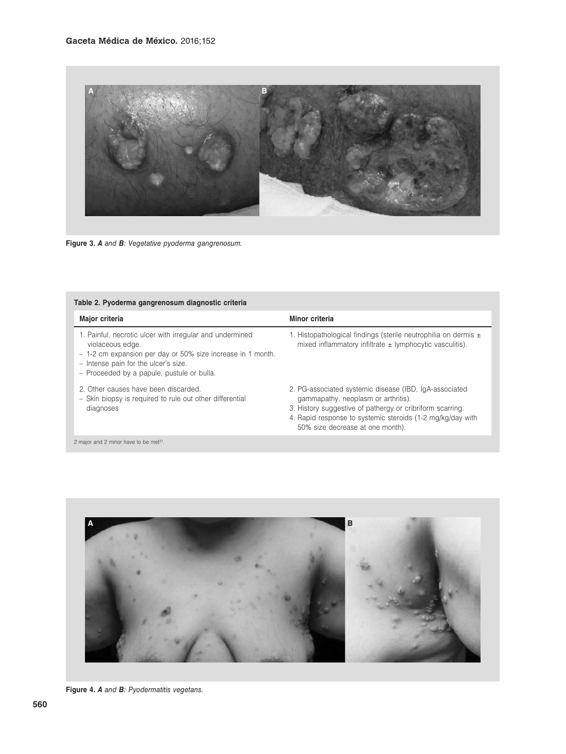

**Figure 3.** *A and B: Vegetative pyoderma gangrenosum.*

| Major criteria                                                                                                                                                                                                                    | Minor criteria                                                                                                                                                                                                                                               |
|-----------------------------------------------------------------------------------------------------------------------------------------------------------------------------------------------------------------------------------|--------------------------------------------------------------------------------------------------------------------------------------------------------------------------------------------------------------------------------------------------------------|
| 1. Painful, necrotic ulcer with irregular and undermined<br>violaceous edge.<br>- 1-2 cm expansion per day or 50% size increase in 1 month.<br>- Intense pain for the ulcer's size.<br>- Proceeded by a papule, pustule or bulla. | 1. Histopathological findings (sterile neutrophilia on dermis $\pm$<br>mixed inflammatory infiltrate $\pm$ lymphocytic vasculitis).                                                                                                                          |
| 2. Other causes have been discarded.<br>- Skin biopsy is required to rule out other differential<br>diagnoses                                                                                                                     | 2. PG-associated systemic disease (IBD, IgA-associated<br>gammapathy, neoplasm or arthritis).<br>3. History suggestive of pathergy or cribriform scarring.<br>4. Rapid response to systemic steroids (1-2 mg/kg/day with<br>50% size decrease at one month). |

2 major and 2 minor have to be met<sup>31</sup>.



**Figure 4.** *A and B: Pyodermatitis vegetans.*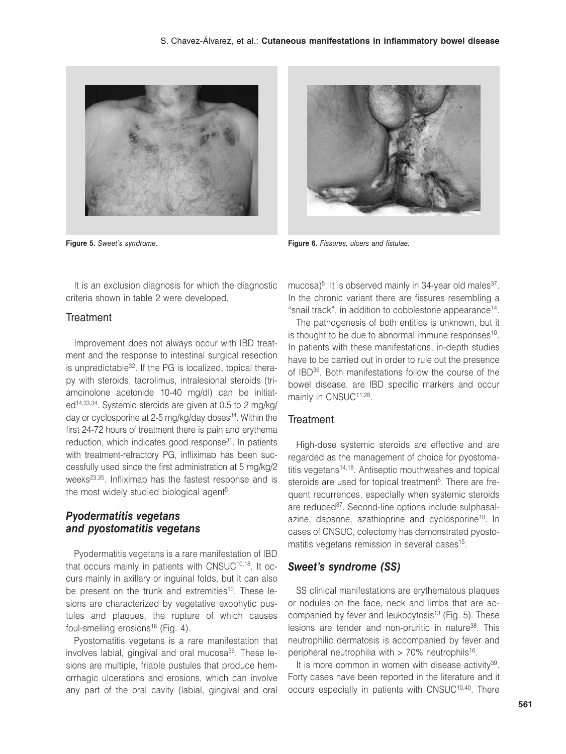

It is an exclusion diagnosis for which the diagnostic criteria shown in table 2 were developed.

### **Treatment**

Improvement does not always occur with IBD treatment and the response to intestinal surgical resection is unpredictable<sup>32</sup>. If the PG is localized, topical therapy with steroids, tacrolimus, intralesional steroids (triamcinolone acetonide 10-40 mg/dl) can be initiated14,33,34. Systemic steroids are given at 0.5 to 2 mg/kg/ day or cyclosporine at 2-5 mg/kg/day doses<sup>34</sup>. Within the first 24-72 hours of treatment there is pain and erythema reduction, which indicates good response<sup>31</sup>. In patients with treatment-refractory PG, infliximab has been successfully used since the first administration at 5 mg/kg/2 weeks<sup>23,35</sup>. Infliximab has the fastest response and is the most widely studied biological agent<sup>5</sup>.

## *Pyodermatitis vegetans and pyostomatitis vegetans*

Pyodermatitis vegetans is a rare manifestation of IBD that occurs mainly in patients with CNSUC<sup>10,18</sup>. It occurs mainly in axillary or inguinal folds, but it can also be present on the trunk and extremities<sup>10</sup>. These lesions are characterized by vegetative exophytic pustules and plaques, the rupture of which causes foul-smelling erosions<sup>16</sup> (Fig. 4).

Pyostomatitis vegetans is a rare manifestation that involves labial, gingival and oral mucosa<sup>36</sup>. These lesions are multiple, friable pustules that produce hemorrhagic ulcerations and erosions, which can involve any part of the oral cavity (labial, gingival and oral



**Figure 5.** *Sweet's syndrome.* **Figure 6.** *Fissures, ulcers and fistulae.*

mucosa)<sup>5</sup>. It is observed mainly in 34-year old males<sup>37</sup>. In the chronic variant there are fissures resembling a "snail track", in addition to cobblestone appearance<sup>14</sup>.

The pathogenesis of both entities is unknown, but it is thought to be due to abnormal immune responses $10$ . In patients with these manifestations, in-depth studies have to be carried out in order to rule out the presence of IBD36. Both manifestations follow the course of the bowel disease, are IBD specific markers and occur mainly in CNSUC<sup>11,28</sup>.

#### **Treatment**

High-dose systemic steroids are effective and are regarded as the management of choice for pyostomatitis vegetans<sup>14,18</sup>. Antiseptic mouthwashes and topical steroids are used for topical treatment<sup>5</sup>. There are frequent recurrences, especially when systemic steroids are reduced<sup>37</sup>. Second-line options include sulphasalazine, dapsone, azathioprine and cyclosporine<sup>18</sup>. In cases of CNSUC, colectomy has demonstrated pyostomatitis vegetans remission in several cases<sup>15</sup>.

#### *Sweet's syndrome (SS)*

SS clinical manifestations are erythematous plaques or nodules on the face, neck and limbs that are accompanied by fever and leukocytosis<sup>13</sup> (Fig. 5). These lesions are tender and non-pruritic in nature<sup>38</sup>. This neutrophilic dermatosis is accompanied by fever and peripheral neutrophilia with  $> 70\%$  neutrophils<sup>16</sup>.

It is more common in women with disease activity $39$ . Forty cases have been reported in the literature and it occurs especially in patients with CNSUC<sup>10,40</sup>. There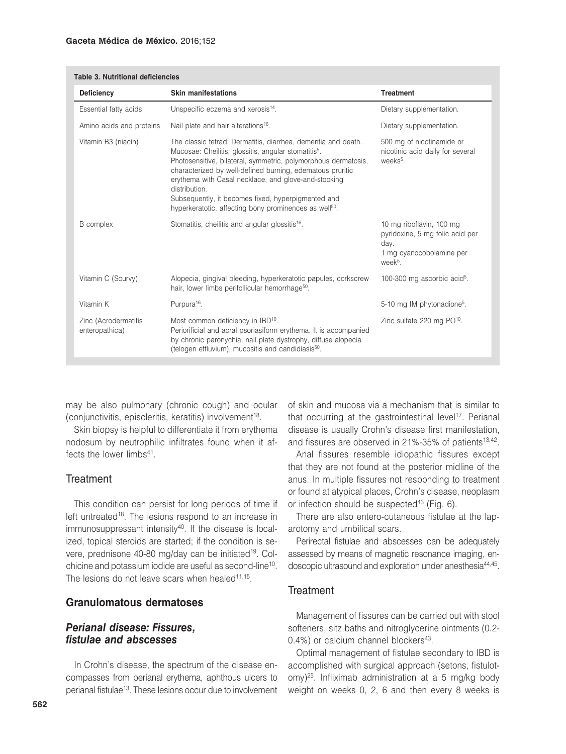#### **Gaceta Médica de México.** 2016;152

| Table 3. Nutritional deficiencies      |                                                                                                                                                                                                                                                                                                                                                                                                                                                                       |                                                                                                                        |  |
|----------------------------------------|-----------------------------------------------------------------------------------------------------------------------------------------------------------------------------------------------------------------------------------------------------------------------------------------------------------------------------------------------------------------------------------------------------------------------------------------------------------------------|------------------------------------------------------------------------------------------------------------------------|--|
| <b>Deficiency</b>                      | <b>Skin manifestations</b>                                                                                                                                                                                                                                                                                                                                                                                                                                            | <b>Treatment</b>                                                                                                       |  |
| Essential fatty acids                  | Unspecific eczema and xerosis <sup>14</sup> .                                                                                                                                                                                                                                                                                                                                                                                                                         | Dietary supplementation.                                                                                               |  |
| Amino acids and proteins               | Nail plate and hair alterations <sup>16</sup> .                                                                                                                                                                                                                                                                                                                                                                                                                       | Dietary supplementation.                                                                                               |  |
| Vitamin B3 (niacin)                    | The classic tetrad: Dermatitis, diarrhea, dementia and death.<br>Mucosae: Cheilitis, glossitis, angular stomatitis <sup>5</sup> .<br>Photosensitive, bilateral, symmetric, polymorphous dermatosis,<br>characterized by well-defined burning, edematous pruritic<br>erythema with Casal necklace, and glove-and-stocking<br>distribution.<br>Subsequently, it becomes fixed, hyperpigmented and<br>hyperkeratotic, affecting bony prominences as well <sup>50</sup> . | 500 mg of nicotinamide or<br>nicotinic acid daily for several<br>weeks <sup>5</sup> .                                  |  |
| B complex                              | Stomatitis, cheilitis and angular glossitis <sup>16</sup> .                                                                                                                                                                                                                                                                                                                                                                                                           | 10 mg riboflavin, 100 mg<br>pyridoxine, 5 mg folic acid per<br>day.<br>1 mg cyanocobolamine per<br>week <sup>5</sup> . |  |
| Vitamin C (Scurvy)                     | Alopecia, gingival bleeding, hyperkeratotic papules, corkscrew<br>hair, lower limbs perifollicular hemorrhage <sup>50</sup> .                                                                                                                                                                                                                                                                                                                                         | 100-300 mg ascorbic $acid5$ .                                                                                          |  |
| Vitamin K                              | Purpura <sup>16</sup> .                                                                                                                                                                                                                                                                                                                                                                                                                                               | 5-10 mg IM phytonadione <sup>5</sup> .                                                                                 |  |
| Zinc (Acrodermatitis<br>enteropathica) | Most common deficiency in IBD <sup>10</sup> .<br>Periorificial and acral psoriasiform erythema. It is accompanied<br>by chronic paronychia, nail plate dystrophy, diffuse alopecia<br>(telogen effluvium), mucositis and candidiasis <sup>50</sup> .                                                                                                                                                                                                                  | Zinc sulfate 220 mg PO <sup>10</sup> .                                                                                 |  |

may be also pulmonary (chronic cough) and ocular (conjunctivitis, episcleritis, keratitis) involvement<sup>18</sup>.

Skin biopsy is helpful to differentiate it from erythema nodosum by neutrophilic infiltrates found when it affects the lower limbs<sup>41</sup>.

### **Treatment**

This condition can persist for long periods of time if left untreated<sup>18</sup>. The lesions respond to an increase in immunosuppressant intensity<sup>40</sup>. If the disease is localized, topical steroids are started; if the condition is severe, prednisone 40-80 mg/day can be initiated<sup>19</sup>. Colchicine and potassium iodide are useful as second-line10. The lesions do not leave scars when healed<sup>11,15</sup>.

### **Granulomatous dermatoses**

## *Perianal disease: Fissures, fistulae and abscesses*

In Crohn's disease, the spectrum of the disease encompasses from perianal erythema, aphthous ulcers to perianal fistulae<sup>13</sup>. These lesions occur due to involvement of skin and mucosa via a mechanism that is similar to that occurring at the gastrointestinal level<sup>17</sup>. Perianal disease is usually Crohn's disease first manifestation, and fissures are observed in 21%-35% of patients<sup>13,42</sup>.

Anal fissures resemble idiopathic fissures except that they are not found at the posterior midline of the anus. In multiple fissures not responding to treatment or found at atypical places, Crohn's disease, neoplasm or infection should be suspected<sup>43</sup> (Fig. 6).

There are also entero-cutaneous fistulae at the laparotomy and umbilical scars.

Perirectal fistulae and abscesses can be adequately assessed by means of magnetic resonance imaging, endoscopic ultrasound and exploration under anesthesia<sup>44,45</sup>.

## **Treatment**

Management of fissures can be carried out with stool softeners, sitz baths and nitroglycerine ointments (0.2-  $0.4\%$ ) or calcium channel blockers<sup>43</sup>.

Optimal management of fistulae secondary to IBD is accomplished with surgical approach (setons, fistulotomy)25. Infliximab administration at a 5 mg/kg body weight on weeks 0, 2, 6 and then every 8 weeks is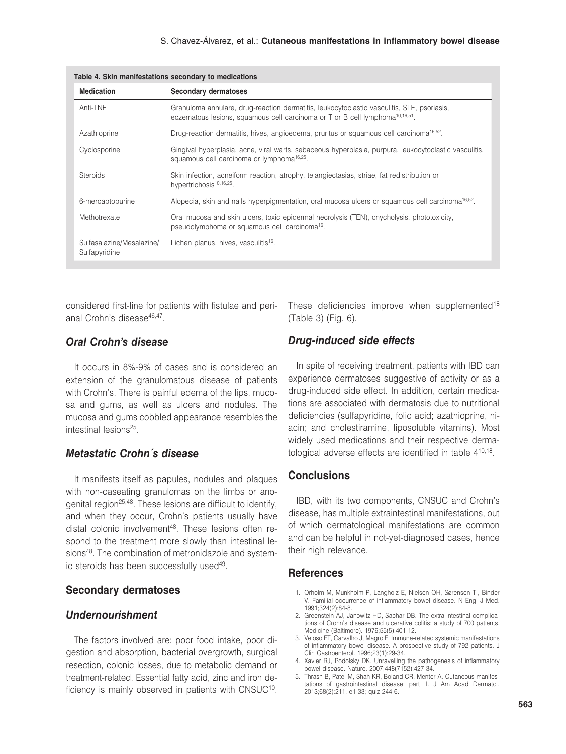| Table 4. Skin manifestations secondary to medications |                                                                                                                                                                                             |  |
|-------------------------------------------------------|---------------------------------------------------------------------------------------------------------------------------------------------------------------------------------------------|--|
| <b>Medication</b>                                     | <b>Secondary dermatoses</b>                                                                                                                                                                 |  |
| Anti-TNF                                              | Granuloma annulare, drug-reaction dermatitis, leukocytoclastic vasculitis, SLE, psoriasis,<br>eczematous lesions, squamous cell carcinoma or $T$ or $B$ cell lymphoma <sup>10,16,51</sup> . |  |
| Azathioprine                                          | Drug-reaction dermatitis, hives, angioedema, pruritus or squamous cell carcinoma <sup>16,52</sup> .                                                                                         |  |
| Cyclosporine                                          | Gingival hyperplasia, acne, viral warts, sebaceous hyperplasia, purpura, leukocytoclastic vasculitis,<br>squamous cell carcinoma or lymphoma <sup>16,25</sup> .                             |  |
| Steroids                                              | Skin infection, acneiform reaction, atrophy, telangiectasias, striae, fat redistribution or<br>hypertrichosis <sup>10,16,25</sup> .                                                         |  |
| 6-mercaptopurine                                      | Alopecia, skin and nails hyperpigmentation, oral mucosa ulcers or squamous cell carcinoma <sup>16,52</sup> .                                                                                |  |
| Methotrexate                                          | Oral mucosa and skin ulcers, toxic epidermal necrolysis (TEN), onycholysis, phototoxicity,<br>pseudolymphoma or squamous cell carcinoma <sup>16</sup> .                                     |  |
| Sulfasalazine/Mesalazine/<br>Sulfapyridine            | Lichen planus, hives, vasculitis <sup>16</sup> .                                                                                                                                            |  |

considered first-line for patients with fistulae and perianal Crohn's disease<sup>46,47</sup>

## *Oral Crohn's disease*

It occurs in 8%-9% of cases and is considered an extension of the granulomatous disease of patients with Crohn's. There is painful edema of the lips, mucosa and gums, as well as ulcers and nodules. The mucosa and gums cobbled appearance resembles the intestinal lesions<sup>25</sup>.

## *Metastatic Crohn´s disease*

It manifests itself as papules, nodules and plaques with non-caseating granulomas on the limbs or anogenital region25,48. These lesions are difficult to identify, and when they occur, Crohn's patients usually have distal colonic involvement<sup>48</sup>. These lesions often respond to the treatment more slowly than intestinal lesions<sup>48</sup>. The combination of metronidazole and systemic steroids has been successfully used<sup>49</sup>.

### **Secondary dermatoses**

## *Undernourishment*

The factors involved are: poor food intake, poor digestion and absorption, bacterial overgrowth, surgical resection, colonic losses, due to metabolic demand or treatment-related. Essential fatty acid, zinc and iron deficiency is mainly observed in patients with CNSUC<sup>10</sup>.

These deficiencies improve when supplemented<sup>18</sup> (Table 3) (Fig. 6).

## *Drug-induced side effects*

In spite of receiving treatment, patients with IBD can experience dermatoses suggestive of activity or as a drug-induced side effect. In addition, certain medications are associated with dermatosis due to nutritional deficiencies (sulfapyridine, folic acid; azathioprine, niacin; and cholestiramine, liposoluble vitamins). Most widely used medications and their respective dermatological adverse effects are identified in table 410,18.

### **Conclusions**

IBD, with its two components, CNSUC and Crohn's disease, has multiple extraintestinal manifestations, out of which dermatological manifestations are common and can be helpful in not-yet-diagnosed cases, hence their high relevance.

#### **References**

- 1. Orholm M, Munkholm P, Langholz E, Nielsen OH, Sørensen TI, Binder V. Familial occurrence of inflammatory bowel disease. N Engl J Med. 1991;324(2):84-8.
- 2. Greenstein AJ, Janowitz HD, Sachar DB. The extra-intestinal complications of Crohn's disease and ulcerative colitis: a study of 700 patients. Medicine (Baltimore). 1976;55(5):401-12.
- 3. Veloso FT, Carvalho J, Magro F. Immune-related systemic manifestations of inflammatory bowel disease. A prospective study of 792 patients. J Clin Gastroenterol. 1996;23(1):29-34.
- 4. Xavier RJ, Podolsky DK. Unravelling the pathogenesis of inflammatory bowel disease. Nature. 2007;448(7152):427-34.
- 5. Thrash B, Patel M, Shah KR, Boland CR, Menter A. Cutaneous manifestations of gastrointestinal disease: part II. J Am Acad Dermatol. 2013;68(2):211. e1-33; quiz 244-6.